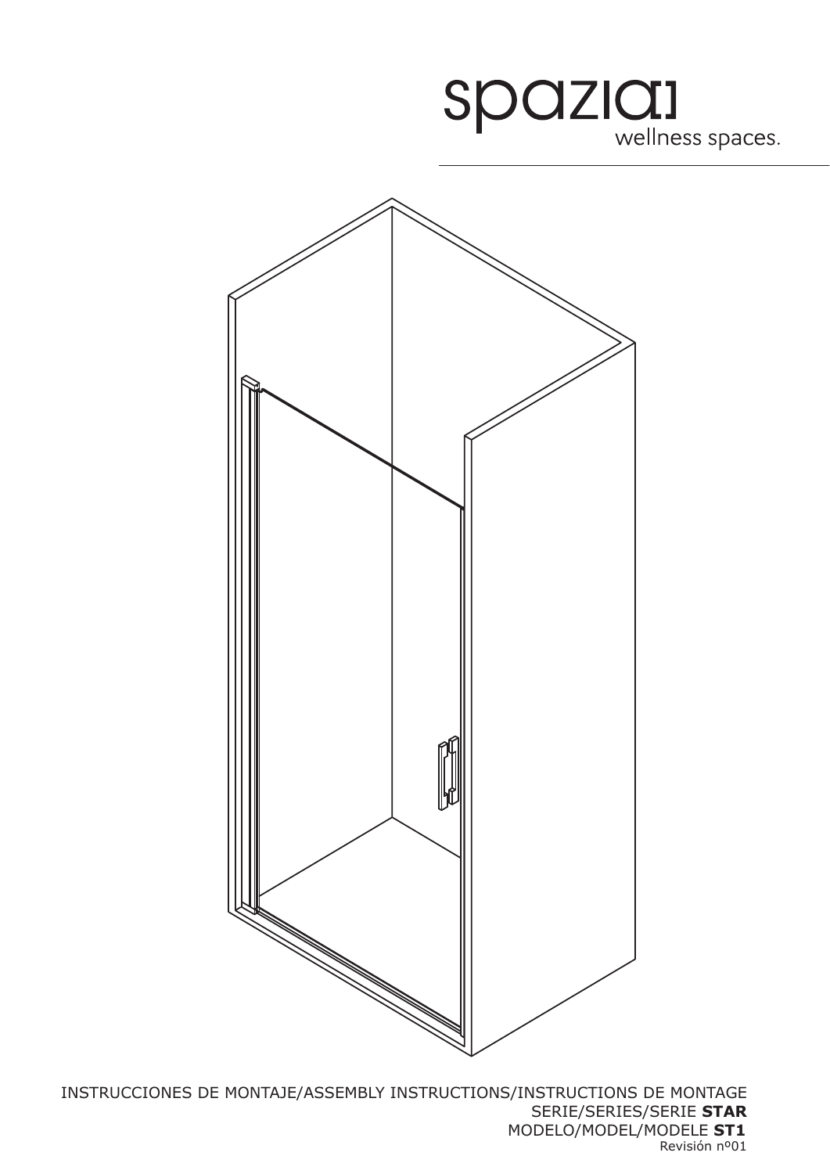



INSTRUCCIONES DE MONTAJE/ASSEMBLY INSTRUCTIONS/INSTRUCTIONS DE MONTAGE SERIE/SERIES/SERIE **STAR** MODELO/MODEL/MODELE **ST1** Revisión nº01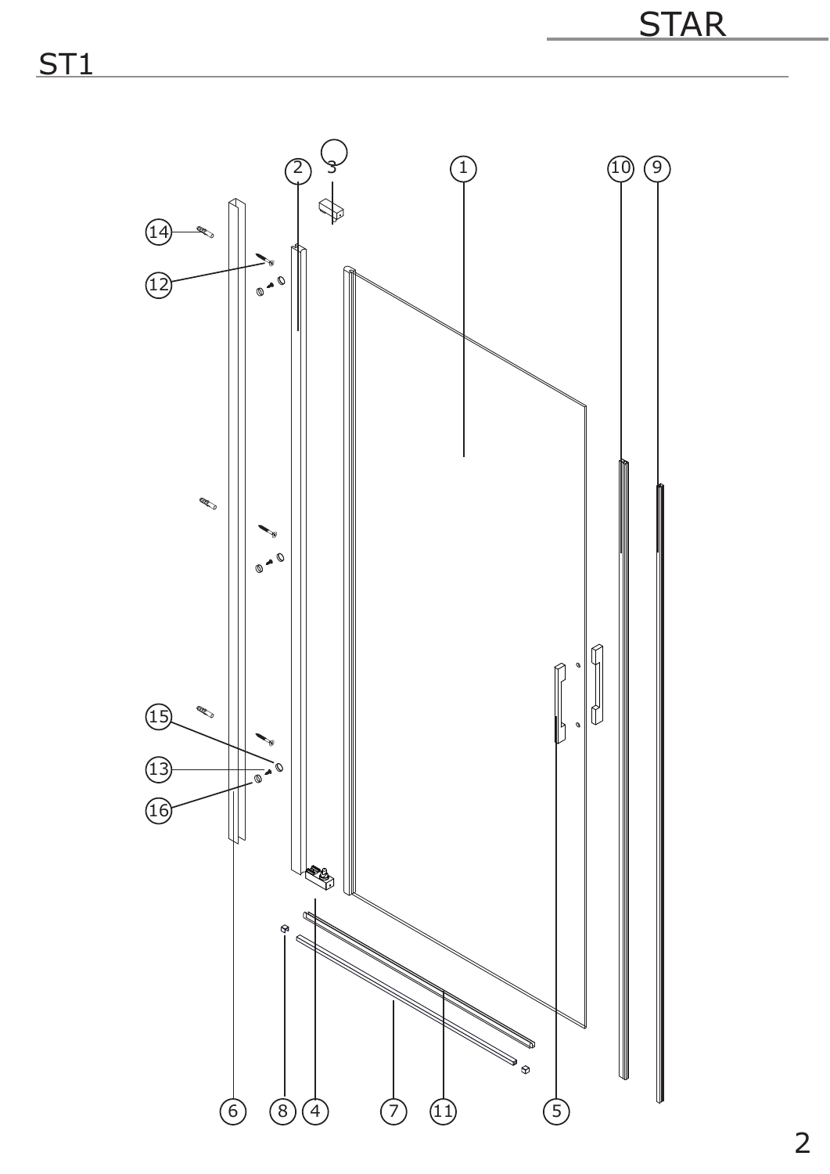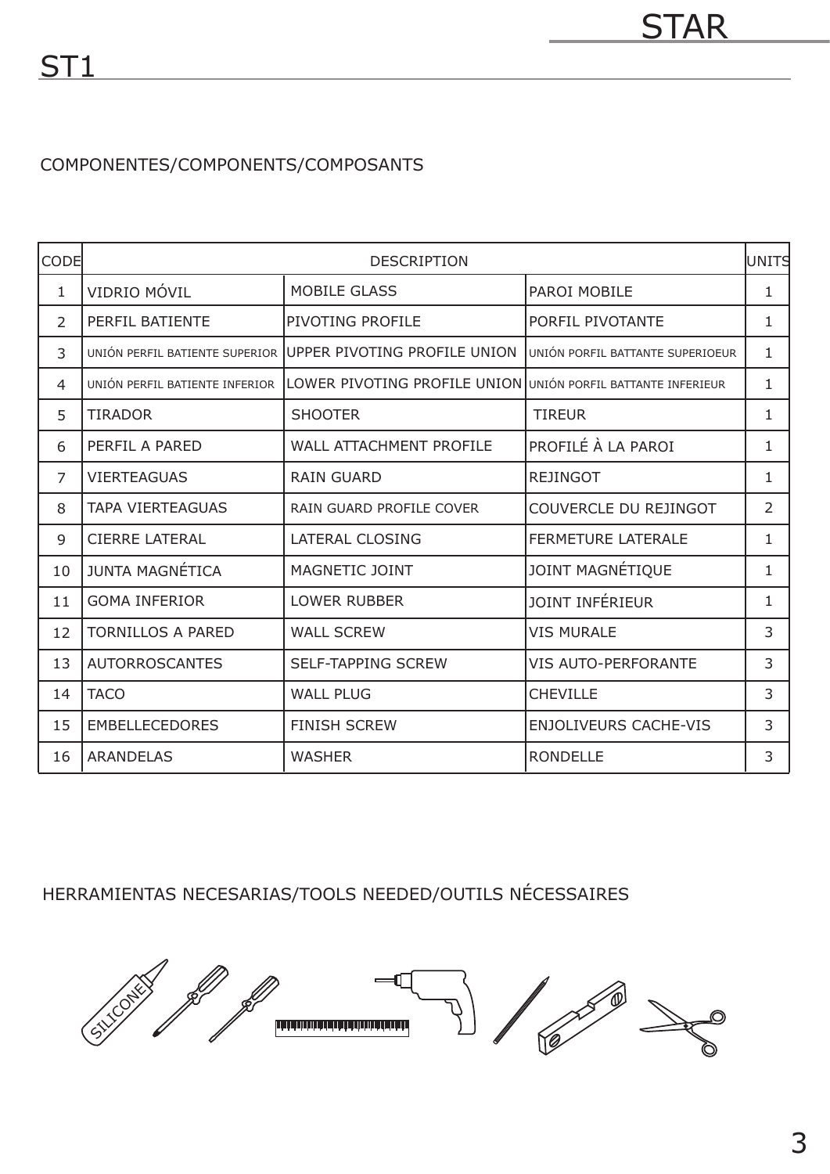## COMPONENTES/COMPONENTS/COMPOSANTS

| CODE           | <b>DESCRIPTION</b>             |                                                              |                                  | <b>l</b> UNITS |
|----------------|--------------------------------|--------------------------------------------------------------|----------------------------------|----------------|
| $\mathbf{1}$   | VIDRIO MÓVIL                   | <b>MOBILE GLASS</b>                                          | PAROI MOBILE                     | 1              |
| 2              | PERFIL BATIENTE                | PIVOTING PROFILE                                             | PORFIL PIVOTANTE                 | $\mathbf{1}$   |
| 3              | UNIÓN PERFIL BATIENTE SUPERIOR | UPPER PIVOTING PROFILE UNION                                 | UNIÓN PORFIL BATTANTE SUPERIOEUR | 1              |
| 4              | UNIÓN PERFIL BATIENTE INFERIOR | LOWER PIVOTING PROFILE UNION UNIÓN PORFIL BATTANTE INFERIEUR |                                  | $\mathbf 1$    |
| 5              | <b>TIRADOR</b>                 | <b>SHOOTER</b>                                               | <b>TIREUR</b>                    | 1              |
| 6              | PERFIL A PARED                 | <b>WALL ATTACHMENT PROFILE</b>                               | PROFILÉ À LA PAROI               | 1              |
| $\overline{7}$ | <b>VIERTEAGUAS</b>             | <b>RAIN GUARD</b>                                            | <b>REJINGOT</b>                  | $\mathbf{1}$   |
| 8              | <b>TAPA VIERTEAGUAS</b>        | RAIN GUARD PROFILE COVER                                     | COUVERCLE DU REJINGOT            | $\overline{2}$ |
| 9              | <b>CIERRE LATERAL</b>          | <b>LATERAL CLOSING</b>                                       | <b>FERMETURE LATERALE</b>        | $\mathbf{1}$   |
| 10             | <b>JUNTA MAGNÉTICA</b>         | MAGNETIC JOINT                                               | JOINT MAGNÉTIQUE                 | $\mathbf{1}$   |
| 11             | <b>GOMA INFERIOR</b>           | <b>LOWER RUBBER</b>                                          | <b>JOINT INFÉRIEUR</b>           | 1              |
| 12             | <b>TORNILLOS A PARED</b>       | <b>WALL SCREW</b>                                            | <b>VIS MURALE</b>                | 3              |
| 13             | <b>AUTORROSCANTES</b>          | <b>SELF-TAPPING SCREW</b>                                    | <b>VIS AUTO-PERFORANTE</b>       | 3              |
| 14             | <b>TACO</b>                    | <b>WALL PLUG</b>                                             | <b>CHEVILLE</b>                  | 3              |
| 15             | <b>EMBELLECEDORES</b>          | <b>FINISH SCREW</b>                                          | <b>ENJOLIVEURS CACHE-VIS</b>     | 3              |
| 16             | <b>ARANDELAS</b>               | <b>WASHER</b>                                                | <b>RONDELLE</b>                  | 3              |

HERRAMIENTAS NECESARIAS/TOOLS NEEDED/OUTILS NÉCESSAIRES

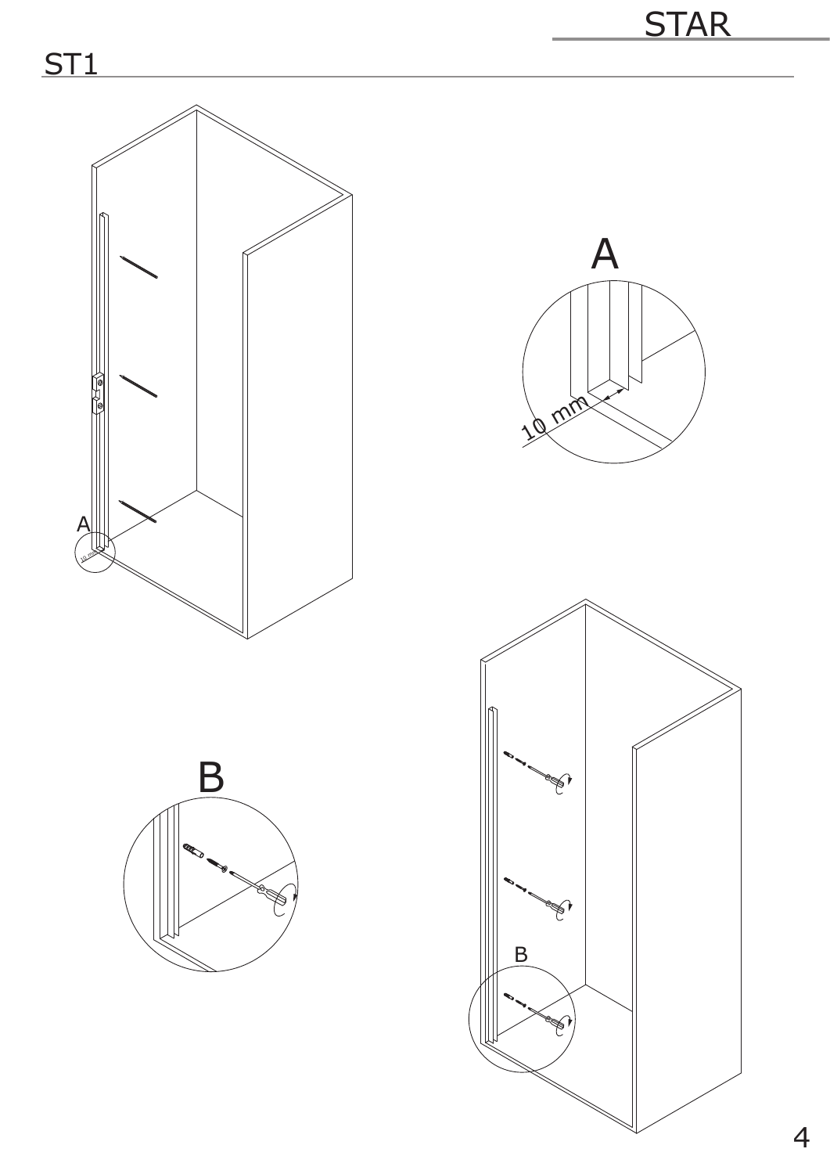





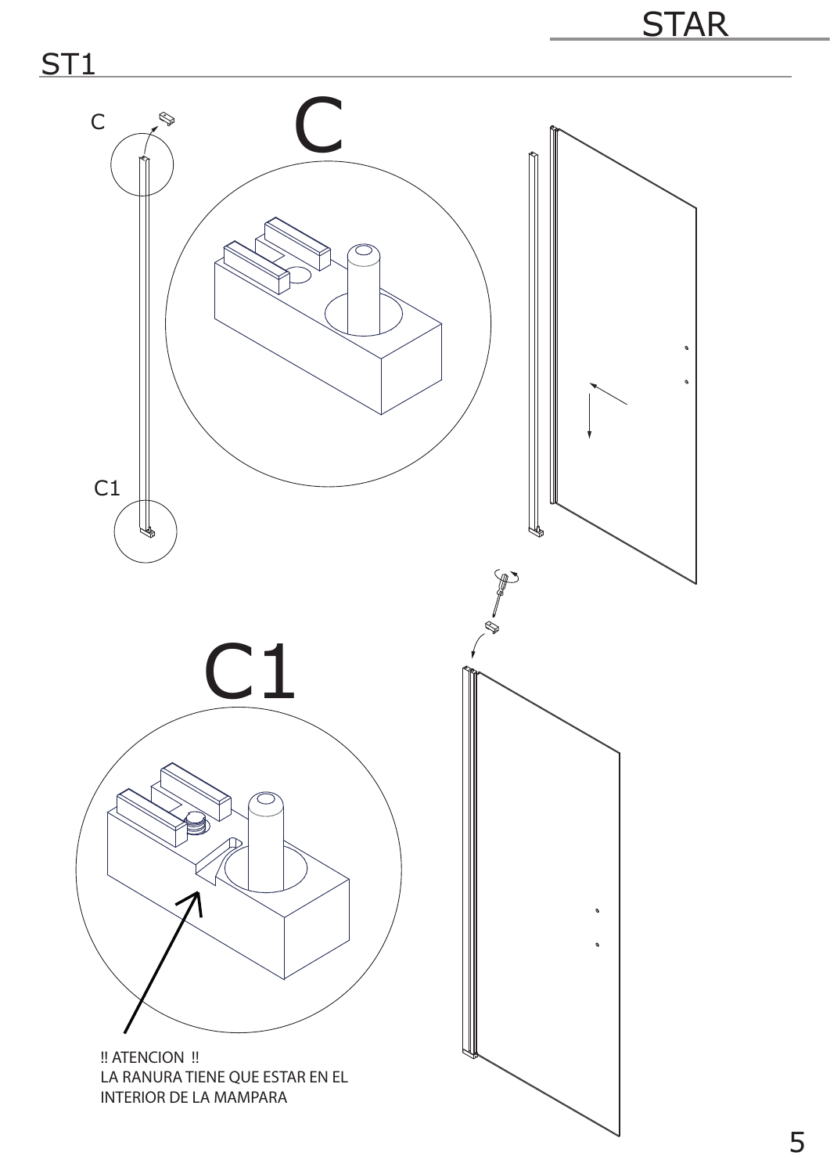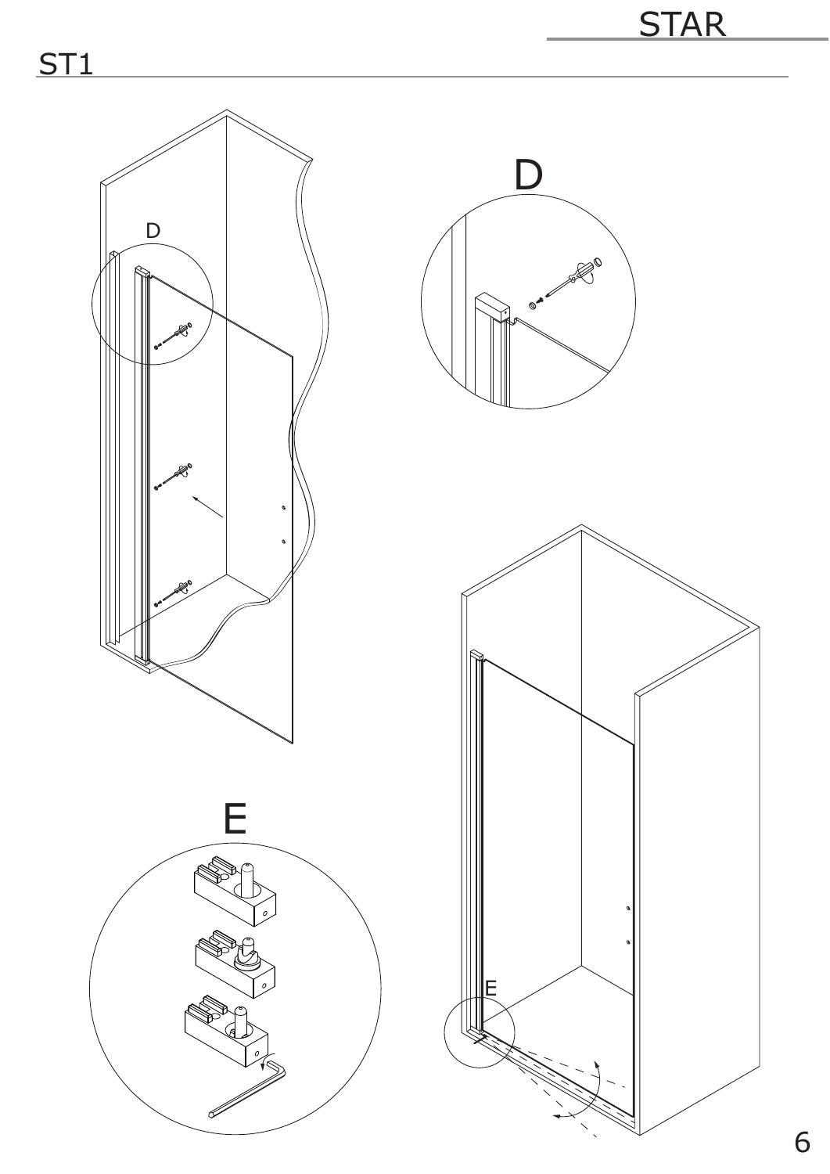